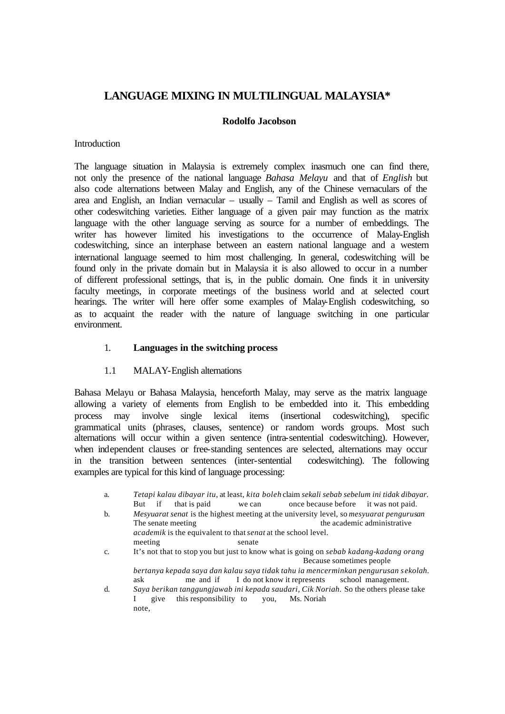# **LANGUAGE MIXING IN MULTILINGUAL MALAYSIA\***

# **Rodolfo Jacobson**

# **Introduction**

The language situation in Malaysia is extremely complex inasmuch one can find there, not only the presence of the national language *Bahasa Melayu* and that of *English* but also code alternations between Malay and English, any of the Chinese vernaculars of the area and English, an Indian vernacular – usually – Tamil and English as well as scores of other codeswitching varieties. Either language of a given pair may function as the matrix language with the other language serving as source for a number of embeddings. The writer has however limited his investigations to the occurrence of Malay-English codeswitching, since an interphase between an eastern national language and a western international language seemed to him most challenging. In general, codeswitching will be found only in the private domain but in Malaysia it is also allowed to occur in a number of different professional settings, that is, in the public domain. One finds it in university faculty meetings, in corporate meetings of the business world and at selected court hearings. The writer will here offer some examples of Malay-English codeswitching, so as to acquaint the reader with the nature of language switching in one particular environment.

# 1. **Languages in the switching process**

### 1.1 MALAY-English alternations

Bahasa Melayu or Bahasa Malaysia, henceforth Malay, may serve as the matrix language allowing a variety of elements from English to be embedded into it. This embedding process may involve single lexical items (insertional codeswitching), specific grammatical units (phrases, clauses, sentence) or random words groups. Most such alternations will occur within a given sentence (intra-sentential codeswitching). However, when independent clauses or free-standing sentences are selected, alternations may occur in the transition between sentences (inter-sentential codeswitching). The following examples are typical for this kind of language processing:

| a. | if<br>that is paid<br>But<br>we can                                         | Tetapi kalau dibayar itu, at least, kita boleh claim sekali sebab sebelum ini tidak dibayar.<br>once because before it was not paid.           |
|----|-----------------------------------------------------------------------------|------------------------------------------------------------------------------------------------------------------------------------------------|
| b. | The senate meeting                                                          | Mesyuarat senat is the highest meeting at the university level, so mesyuarat pengurusan<br>the academic administrative                         |
|    | <i>academik</i> is the equivalent to that <i>senat</i> at the school level. |                                                                                                                                                |
|    | meeting<br>senate                                                           |                                                                                                                                                |
| C. |                                                                             | It's not that to stop you but just to know what is going on sebab kadang-kadang orang                                                          |
|    | Because sometimes people                                                    |                                                                                                                                                |
|    | ask                                                                         | bertanya kepada saya dan kalau saya tidak tahu ia mencerminkan pengurusan sekolah.<br>me and if I do not know it represents school management. |
| d  |                                                                             | Saya berikan tanggungjawab ini kepada saudari, Cik Noriah. So the others please take                                                           |

I give this responsibility to you, Ms. Noriah note,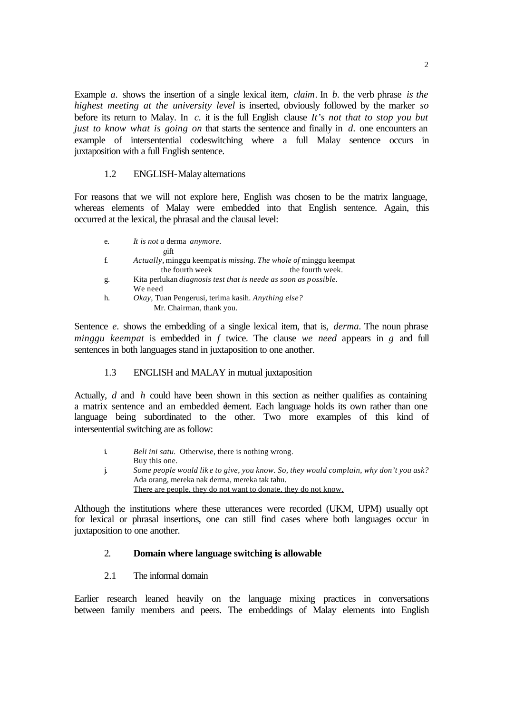Example *a*. shows the insertion of a single lexical item, *claim*. In *b*, the verb phrase *is the highest meeting at the university level* is inserted, obviously followed by the marker *so* before its return to Malay. In *c.* it is the full English clause *It's not that to stop you but just to know what is going on* that starts the sentence and finally in *d.* one encounters an example of intersentential codeswitching where a full Malay sentence occurs in juxtaposition with a full English sentence.

#### 1.2 ENGLISH-Malay alternations

For reasons that we will not explore here, English was chosen to be the matrix language, whereas elements of Malay were embedded into that English sentence. Again, this occurred at the lexical, the phrasal and the clausal level:

| e. | It is not a derma anymore.                                              |
|----|-------------------------------------------------------------------------|
|    | gift                                                                    |
| f. | Actually, minggu keempat is missing. The whole of minggu keempat        |
|    | the fourth week<br>the fourth week.                                     |
| g. | Kita perlukan <i>diagnosis test that is neede as soon as possible</i> . |
|    | We need                                                                 |
| h. | <i>Okay</i> , Tuan Pengerusi, terima kasih. Anything else?              |
|    | Mr. Chairman, thank you.                                                |

Sentence *e.* shows the embedding of a single lexical item, that is, *derma.* The noun phrase *minggu keempat* is embedded in *f* twice. The clause *we need* appears in *g* and full sentences in both languages stand in juxtaposition to one another.

### 1.3 ENGLISH and MALAY in mutual juxtaposition

Actually, *d* and *h* could have been shown in this section as neither qualifies as containing a matrix sentence and an embedded dement. Each language holds its own rather than one language being subordinated to the other. Two more examples of this kind of intersentential switching are as follow:

- i. *Beli ini satu.* Otherwise, there is nothing wrong. Buy this one.
- j. *Some people would lik e to give, you know. So, they would complain, why don't you ask?*  Ada orang, mereka nak derma, mereka tak tahu. There are people, they do not want to donate, they do not know.

Although the institutions where these utterances were recorded (UKM, UPM) usually opt for lexical or phrasal insertions, one can still find cases where both languages occur in juxtaposition to one another.

#### 2. **Domain where language switching is allowable**

#### 2.1 The informal domain

Earlier research leaned heavily on the language mixing practices in conversations between family members and peers. The embeddings of Malay elements into English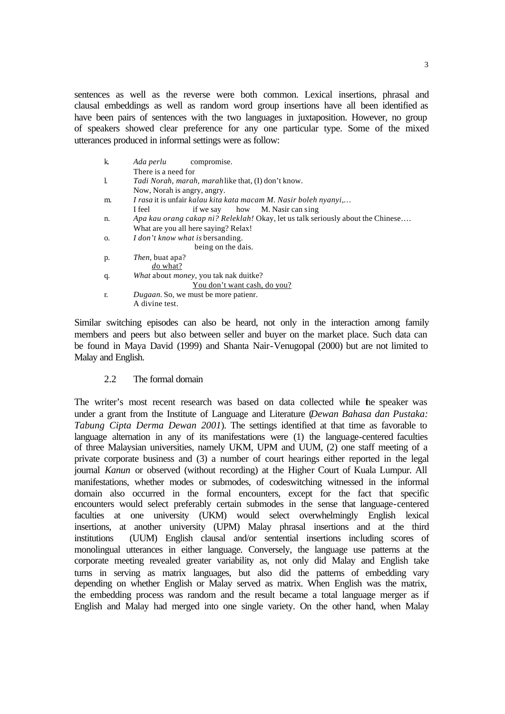sentences as well as the reverse were both common. Lexical insertions, phrasal and clausal embeddings as well as random word group insertions have all been identified as have been pairs of sentences with the two languages in juxtaposition. However, no group of speakers showed clear preference for any one particular type. Some of the mixed utterances produced in informal settings were as follow:

| k. | Ada perlu<br>compromise.                                                        |  |  |
|----|---------------------------------------------------------------------------------|--|--|
|    | There is a need for                                                             |  |  |
| l. | <i>Tadi Norah, marah, marah</i> like that, (I) don't know.                      |  |  |
|    | Now, Norah is angry, angry.                                                     |  |  |
| m. | I rasa it is unfair kalau kita kata macam M. Nasir boleh nyanyi,                |  |  |
|    | if we say how M. Nasir can sing<br>I feel                                       |  |  |
| n. | Apa kau orang cakap ni? Releklah! Okay, let us talk seriously about the Chinese |  |  |
|    | What are you all here saying? Relax!                                            |  |  |
| O. | <i>I don't know what is bersanding.</i>                                         |  |  |
|    | being on the dais.                                                              |  |  |
| p. | <i>Then</i> , buat apa?                                                         |  |  |
|    | do what?                                                                        |  |  |
| q. | What about money, you tak nak duitke?                                           |  |  |
|    | You don't want cash, do you?                                                    |  |  |
| r. | <i>Dugaan.</i> So, we must be more patienr.                                     |  |  |
|    | A divine test.                                                                  |  |  |
|    |                                                                                 |  |  |

Similar switching episodes can also be heard, not only in the interaction among family members and peers but also between seller and buyer on the market place. Such data can be found in Maya David (1999) and Shanta Nair-Venugopal (2000) but are not limited to Malay and English.

## 2.2 The formal domain

The writer's most recent research was based on data collected while the speaker was under a grant from the Institute of Language and Literature (*Dewan Bahasa dan Pustaka: Tabung Cipta Derma Dewan 2001*). The settings identified at that time as favorable to language alternation in any of its manifestations were (1) the language-centered faculties of three Malaysian universities, namely UKM, UPM and UUM, (2) one staff meeting of a private corporate business and (3) a number of court hearings either reported in the legal journal *Kanun* or observed (without recording) at the Higher Court of Kuala Lumpur. All manifestations, whether modes or submodes, of codeswitching witnessed in the informal domain also occurred in the formal encounters, except for the fact that specific encounters would select preferably certain submodes in the sense that language-centered faculties at one university (UKM) would select overwhelmingly English lexical insertions, at another university (UPM) Malay phrasal insertions and at the third institutions (UUM) English clausal and/or sentential insertions including scores of monolingual utterances in either language. Conversely, the language use patterns at the corporate meeting revealed greater variability as, not only did Malay and English take turns in serving as matrix languages, but also did the patterns of embedding vary depending on whether English or Malay served as matrix. When English was the matrix, the embedding process was random and the result became a total language merger as if English and Malay had merged into one single variety. On the other hand, when Malay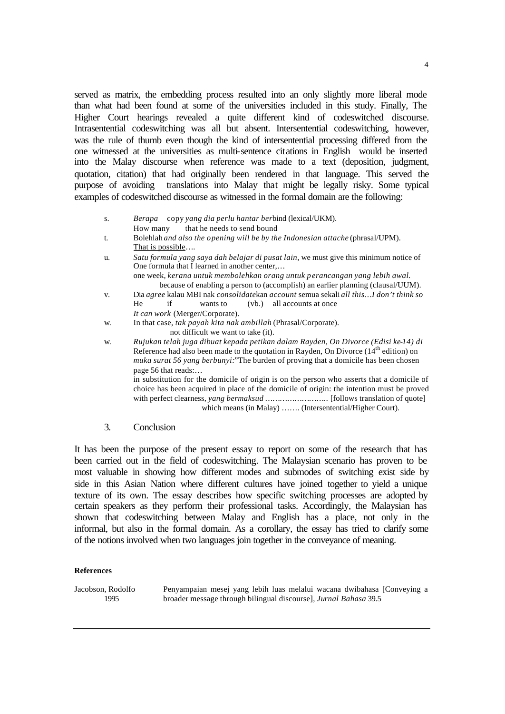served as matrix, the embedding process resulted into an only slightly more liberal mode than what had been found at some of the universities included in this study. Finally, The Higher Court hearings revealed a quite different kind of codeswitched discourse. Intrasentential codeswitching was all but absent. Intersentential codeswitching, however, was the rule of thumb even though the kind of intersentential processing differed from the one witnessed at the universities as multi-sentence citations in English would be inserted into the Malay discourse when reference was made to a text (deposition, judgment, quotation, citation) that had originally been rendered in that language. This served the purpose of avoiding translations into Malay that might be legally risky. Some typical examples of codeswitched discourse as witnessed in the formal domain are the following:

- s. *Berapa* copy *yang dia perlu hantar ber*bind (lexical/UKM). How many that he needs to send bound
- t. Bolehlah *and also the opening will be by the Indonesian attache* (phrasal/UPM). That is possible….
- u. *Satu formula yang saya dah belajar di pusat lain*, we must give this minimum notice of One formula that I learned in another center,… one week, *kerana untuk membolehkan orang untuk perancangan yang lebih awal.* because of enabling a person to (accomplish) an earlier planning (clausal/UUM). v. Dia *agree* kalau MBI nak *consolidate*kan *account* semua sekali *all this…I don't think so* He if wants to (vb.) all accounts at once *It can work* (Merger/Corporate). w. In that case, *tak payah kita nak ambillah* (Phrasal/Corporate).
	- not difficult we want to take (it).
- w. *Rujukan telah juga dibuat kepada petikan dalam Rayden, On Divorce (Edisi ke-14) di* Reference had also been made to the quotation in Rayden, On Divorce (14<sup>th</sup> edition) on *muka surat 56 yang berbunyi:*"The burden of proving that a domicile has been chosen page 56 that reads:… in substitution for the domicile of origin is on the person who asserts that a domicile of choice has been acquired in place of the domicile of origin: the intention must be proved with perfect clearness, *yang bermaksud ……………………..* [follows translation of quote] which means (in Malay) …….. (Intersentential/Higher Court).
- 3. Conclusion

It has been the purpose of the present essay to report on some of the research that has been carried out in the field of codeswitching. The Malaysian scenario has proven to be most valuable in showing how different modes and submodes of switching exist side by side in this Asian Nation where different cultures have joined together to yield a unique texture of its own. The essay describes how specific switching processes are adopted by certain speakers as they perform their professional tasks. Accordingly, the Malaysian has shown that codeswitching between Malay and English has a place, not only in the informal, but also in the formal domain. As a corollary, the essay has tried to clarify some of the notions involved when two languages join together in the conveyance of meaning.

#### **References**

Jacobson, Rodolfo Penyampaian mesej yang lebih luas melalui wacana dwibahasa [Conveying a 1995 broader message through bilingual discourse], *Jurnal Bahasa* 39.5